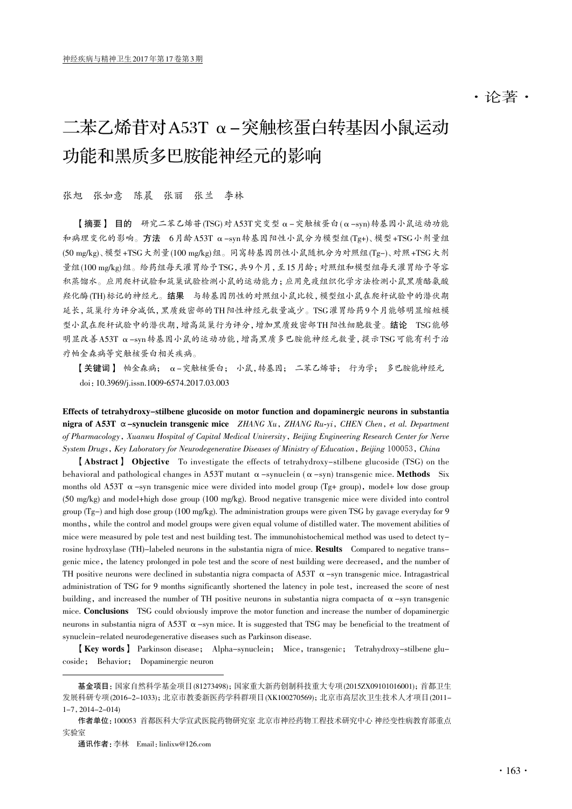# ·论著·

# 二苯乙烯苷对A53T α-突触核蛋白转基因小鼠运动 功能和黑质多巴胺能神经元的影响

张旭 张如意 陈晨 张丽 张兰 李林

【摘要】 目的 研究二苯乙烯苷(TSG)对A53T突变型α-突触核蛋白(α-syn)转基因小鼠运动功能 和病理变化的影响。方法 6月龄A53T α-syn转基因阳性小鼠分为模型组(Tg+)、模型+TSG小剂量组 (50 mg/kg)、模型+TSG大剂量(100 mg/kg)组。同窝转基因阴性小鼠随机分为对照组(Tg-)、对照+TSG大剂 量组(100 mg/kg)组。给药组每天灌胃给予TSG,共9个月,至15月龄;对照组和模型组每天灌胃给予等容 积蒸馏水。应用爬杆试验和筑巢试验检测小鼠的运动能力;应用免疫组织化学方法检测小鼠黑质酪氨酸 羟化酶(TH)标记的神经元。结果 与转基因阴性的对照组小鼠比较,模型组小鼠在爬杆试验中的潜伏期 延长,筑巢行为评分减低,黑质致密部的TH阳性神经元数量减少。TSG灌胃给药9个月能够明显缩短模 型小鼠在爬杆试验中的潜伏期,增高筑巢行为评分,增加黑质致密部TH阳性细胞数量。结论 TSG能够 明显改善A53T α-syn转基因小鼠的运动功能,增高黑质多巴胺能神经元数量,提示TSG可能有利于治 疗帕金森病等突触核蛋白相关疾病。

【关键词】 帕金森病; α-突触核蛋白; 小鼠,转基因; 二苯乙烯苷; 行为学; 多巴胺能神经元 doi:10.3969/j.issn.1009-6574.2017.03.003

Effects of tetrahydroxy-stilbene glucoside on motor function and dopaminergic neurons in substantia nigra of A53T  $\alpha$ -synuclein transgenic mice ZHANG Xu, ZHANG Ru-yi, CHEN Chen, et al. Department of Pharmacology, Xuanwu Hospital of Capital Medical University, Beijing Engineering Research Center for Nerve System Drugs, Key Laboratory for Neurodegenerative Diseases of Ministry of Education, Beijing 100053, China

【Abstract】 Objective To investigate the effects of tetrahydroxy-stilbene glucoside (TSG) on the behavioral and pathological changes in A53T mutant  $\alpha$  -synuclein ( $\alpha$  -syn) transgenic mice. **Methods** Six months old A53T  $\alpha$ -syn transgenic mice were divided into model group (Tg+ group), model+ low dose group (50 mg/kg) and model+high dose group (100 mg/kg). Brood negative transgenic mice were divided into control group (Tg-) and high dose group (100 mg/kg). The administration groups were given TSG by gavage everyday for 9 months, while the control and model groups were given equal volume of distilled water. The movement abilities of mice were measured by pole test and nest building test. The immunohistochemical method was used to detect tyrosine hydroxylase (TH)-labeled neurons in the substantia nigra of mice. **Results** Compared to negative transgenic mice, the latency prolonged in pole test and the score of nest building were decreased, and the number of TH positive neurons were declined in substantia nigra compacta of A53T  $\alpha$ -syn transgenic mice. Intragastrical administration of TSG for 9 months significantly shortened the latency in pole test, increased the score of nest building, and increased the number of TH positive neurons in substantia nigra compacta of  $\alpha$ -syn transgenic mice. Conclusions TSG could obviously improve the motor function and increase the number of dopaminergic neurons in substantia nigra of A53T  $\alpha$  -syn mice. It is suggested that TSG may be beneficial to the treatment of synuclein-related neurodegenerative diseases such as Parkinson disease.

【Key words】 Parkinson disease; Alpha-synuclein; Mice, transgenic; Tetrahydroxy-stilbene glucoside; Behavior; Dopaminergic neuron

基金项目:国家自然科学基金项目 (81273498);国家重大新药创制科技重大专项 (2015ZX09101016001);首都卫生 发展科研专项 (2016-2-1033);北京市教委新医药学科群项目 (XK100270569);北京市高层次卫生技术人才项目 (2011-  $1-7, 2014-2-014$ 

作者单位:100053 首都医科大学宣武医院药物研究室 北京市神经药物工程技术研究中心 神经变性病教育部重点 实验室

通讯作者:李林 Email:linlixw@126.com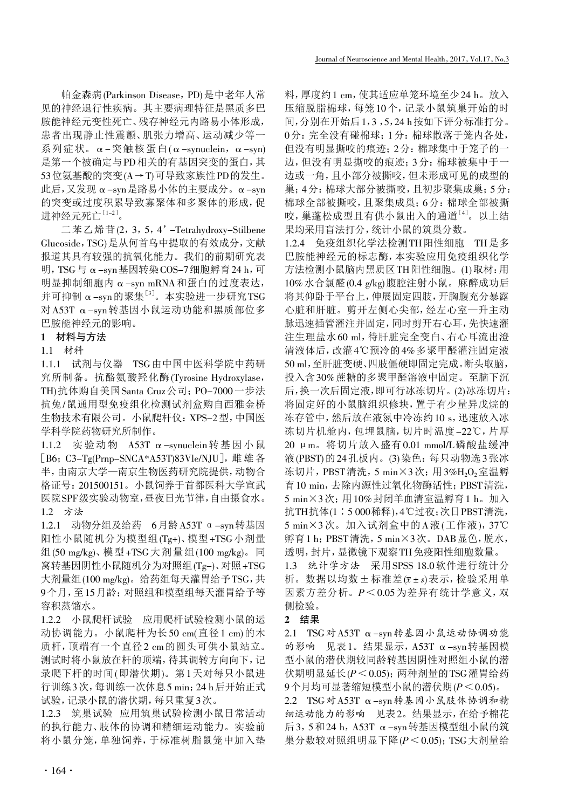帕金森病(Parkinson Disease,PD)是中老年人常 见的神经退行性疾病。其主要病理特征是黑质多巴 胺能神经元变性死亡、残存神经元内路易小体形成, 患者出现静止性震颤、肌张力增高、运动减少等一 系列症状。α-突触核蛋白(α-synuclein,α-syn) 是第一个被确定与PD相关的有基因突变的蛋白,其 53位氨基酸的突变(A→T)可导致家族性PD的发生。 此后,又发现α-syn是路易小体的主要成分。α-syn 的突变或过度积累导致寡聚体和多聚体的形成,促 进神经元死亡<sup>[1-2]</sup>。

二苯乙烯苷(2,3,5,4'-Tetrahydroxy-Stilbene Glucoside,TSG)是从何首乌中提取的有效成分,文献 报道其具有较强的抗氧化能力。我们的前期研究表 明,TSG与α-syn基因转染COS-7细胞孵育24 h,可 明显抑制细胞内α-syn mRNA和蛋白的过度表达, 并可抑制 α-syn的聚集 $^{\left[ 3\right] }$ 。本实验进一步研究TSG 对A53T α-syn转基因小鼠运动功能和黑质部位多 巴胺能神经元的影响。

# 1 材料与方法

## 1.1 材料

1.1.1 试剂与仪器 TSG由中国中医科学院中药研 究所制备。抗酪氨酸羟化酶(Tyrosine Hydroxylase, TH)抗体购自美国Santa Cruz公司;PO-7000一步法 抗兔/鼠通用型免疫组化检测试剂盒购自西雅金桥 生物技术有限公司。小鼠爬杆仪:XPS-2型,中国医 学科学院药物研究所制作。

1.1.2 实验动物 A53T α-synuclein转基因小鼠 [B6; C3-Tg(Prnp-SNCA\*A53T)83Vle/NJU],雌雄各 半,由南京大学—南京生物医药研究院提供,动物合 格证号:201500151。小鼠饲养于首都医科大学宣武 医院SPF级实验动物室,昼夜日光节律,自由摄食水。 1.2 方法

1.2.1 动物分组及给药 6月龄A53T α-syn转基因 阳性小鼠随机分为模型组(Tg+)、模型+TSG小剂量 组(50 mg/kg)、模型 +TSG 大剂量组(100 mg/kg)。同 窝转基因阴性小鼠随机分为对照组(Tg-)、对照+TSG 大剂量组(100 mg/kg)。给药组每天灌胃给予TSG,共 9个月,至15月龄;对照组和模型组每天灌胃给予等 容积蒸馏水。

1.2.2 小鼠爬杆试验 应用爬杆试验检测小鼠的运 动协调能力。小鼠爬杆为长50 cm(直径1 cm)的木 质杆,顶端有一个直径2 cm的圆头可供小鼠站立。 测试时将小鼠放在杆的顶端,待其调转方向向下,记 录爬下杆的时间(即潜伏期)。第1天对每只小鼠进 行训练3次,每训练一次休息5 min;24 h后开始正式 试验,记录小鼠的潜伏期,每只重复3次。

1.2.3 筑巢试验 应用筑巢试验检测小鼠日常活动 的执行能力、肢体的协调和精细运动能力。实验前 将小鼠分笼,单独饲养,于标准树脂鼠笼中加入垫 料,厚度约1 cm,使其适应单笼环境至少24 h。放入 压缩脱脂棉球,每笼10个,记录小鼠筑巢开始的时 间,分别在开始后1,3 ,5,24 h按如下评分标准打分。 0分:完全没有碰棉球;1分:棉球散落于笼内各处, 但没有明显撕咬的痕迹;2分:棉球集中于笼子的一 边,但没有明显撕咬的痕迹;3分:棉球被集中于一 边或一角,且小部分被撕咬,但未形成可见的成型的 巢;4分:棉球大部分被撕咬,且初步聚集成巢;5分: 棉球全部被撕咬,且聚集成巢;6分:棉球全部被撕 咬,巢蓬松成型且有供小鼠出入的通道[4] 。以上结 果均采用盲法打分,统计小鼠的筑巢分数。

1.2.4 免疫组织化学法检测TH阳性细胞 TH是多 巴胺能神经元的标志酶,本实验应用免疫组织化学 方法检测小鼠脑内黑质区TH阳性细胞。(1)取材:用 10%水合氯醛(0.4 g/kg)腹腔注射小鼠。麻醉成功后 将其仰卧于平台上,伸展固定四肢,开胸腹充分暴露 心脏和肝脏。剪开左侧心尖部,经左心室—升主动 脉迅速插管灌注并固定,同时剪开右心耳,先快速灌 注生理盐水60 ml,待肝脏完全变白、右心耳流出澄 清液体后,改灌4℃预冷的4%多聚甲醛灌注固定液 50 ml,至肝脏变硬、四肢僵硬即固定完成。断头取脑, 投入含30%蔗糖的多聚甲醛溶液中固定。至脑下沉 后,换一次后固定液,即可行冰冻切片。(2)冰冻切片: 将固定好的小鼠脑组织修块,置于有少量异戊烷的 冻存管中,然后放在液氮中冷冻约10 s,迅速放入冰 冻切片机舱内,包埋鼠脑,切片时温度-22℃,片厚 20 μm。将切片放入盛有0.01 mmol/L磷酸盐缓冲 液(PBST)的24孔板内。(3)染色: 每只动物选3张冰 冻切片, PBST清洗, 5 min×3次; 用3%H<sub>2</sub>O<sub>2</sub>室温孵 育10 min,去除内源性过氧化物酶活性;PBST清洗, 5 min×3次;用10%封闭羊血清室温孵育1 h。加入 抗TH抗体(1∶5 000稀释),4℃过夜;次日PBST清洗, 5 min×3次。加入试剂盒中的A液(工作液),37℃ 孵育1 h;PBST清洗,5 min×3次。DAB显色,脱水, 透明,封片,显微镜下观察TH免疫阳性细胞数量。 1.3 统计学方法 采用SPSS 18.0软件进行统计分

析。数据以均数±标准差(x±s)表示,检验采用单 因素方差分析。P<0.05为差异有统计学意义,双 侧检验。

## 2 结果

2.1 TSG对A53T α-syn转基因小鼠运动协调功能 的影响 见表1。结果显示,A53T α-syn转基因模 型小鼠的潜伏期较同龄转基因阴性对照组小鼠的潜 伏期明显延长(P<0.05);两种剂量的TSG灌胃给药 9个月均可显著缩短模型小鼠的潜伏期(P<0.05)。

2.2 TSG对A53T α-syn转基因小鼠肢体协调和精 细运动能力的影响 见表2。结果显示,在给予棉花 后3,5和24 h,A53T α-syn转基因模型组小鼠的筑 巢分数较对照组明显下降(P<0.05);TSG大剂量给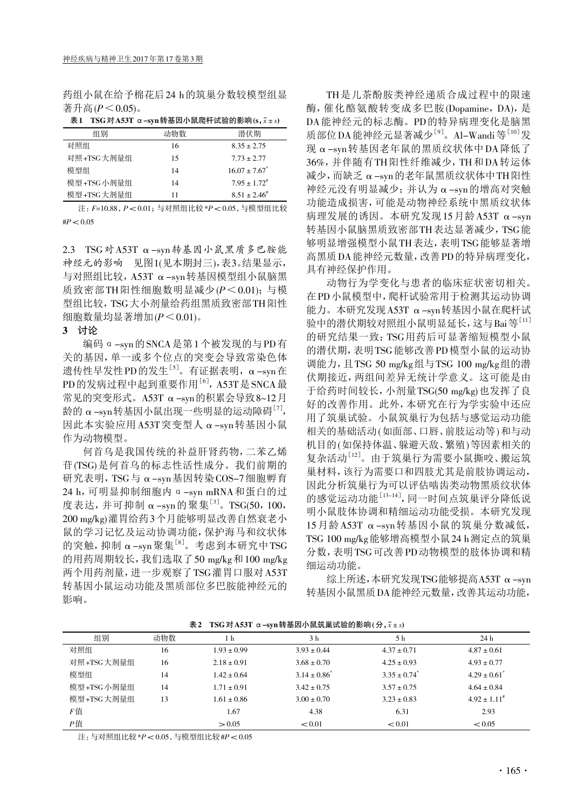药组小鼠在给予棉花后24 h的筑巢分数较模型组显 著升高 $(P < 0.05)$ 。

| 表1         |     | TSG 对 A53T $\alpha$ -syn 转基因小鼠爬杆试验的影响 (s, $\bar{x} \pm s$ ) |
|------------|-----|-------------------------------------------------------------|
| 组别         | 动物数 | 潜伏期                                                         |
| 对照组        | 16  | $8.35 \pm 2.75$                                             |
| 对照+TSG大剂量组 | 15  | $773 + 277$                                                 |
| 模型组        | 14  | $16.07 \pm 7.67$ <sup>*</sup>                               |
| 模型+TSG小剂量组 | 14  | $7.95 \pm 1.72^{\text{\#}}$                                 |
| 模型+TSG大剂量组 | 11  | $8.51 + 2.46^{\#}$                                          |

 注:F=10.88,P< 0.01;与对照组比较 \*P< 0.05,与模型组比较  $#P < 0.05$ 

2.3 TSG对A53T α-syn转基因小鼠黑质多巴胺能 神经元的影响 见图1(见本期封三),表3。结果显示, 与对照组比较,A53T α-syn转基因模型组小鼠脑黑 质致密部TH阳性细胞数明显减少(P<0.01);与模 型组比较,TSG大小剂量给药组黑质致密部TH阳性 细胞数量均显著增加 $(P < 0.01)$ 。

# 3 讨论

编码α-syn的SNCA是第1个被发现的与PD有 关的基因,单一或多个位点的突变会导致常染色体 遗传性早发性PD的发生<sup>[5]</sup>。有证据表明, α-syn在 PD的发病过程中起到重要作用<sup>[6]</sup>, A53T是SNCA 最 常见的突变形式。A53T α-syn的积累会导致8~12月 龄的 α-syn转基因小鼠出现一些明显的运动障碍<sup>[7]</sup>, 因此本实验应用A53T突变型人α-syn转基因小鼠 作为动物模型。

何首乌是我国传统的补益肝肾药物,二苯乙烯 苷(TSG)是何首乌的标志性活性成分。我们前期的 研究表明,TSG与α-syn基因转染COS-7细胞孵育  $24$  h, 可明显抑制细胞内 α -syn mRNA 和蛋白的过 度表达,并可抑制 α-syn的聚集<sup>[3]</sup>。TSG(50, 100, 200 mg/kg)灌胃给药3个月能够明显改善自然衰老小 鼠的学习记忆及运动协调功能,保护海马和纹状体 的突触, 抑制 α-syn聚集 $^{\left[ 8 \right]}$ 。考虑到本研究中TSG 的用药周期较长,我们选取了50 mg/kg和100 mg/kg 两个用药剂量,进一步观察了TSG灌胃口服对A53T 转基因小鼠运动功能及黑质部位多巴胺能神经元的 影响。

TH是儿茶酚胺类神经递质合成过程中的限速 酶,催化酪氨酸转变成多巴胺(Dopamine, DA),是 DA能神经元的标志酶。PD的特异病理变化是脑黑 质部位DA 能神经元显著减少<sup>[9]</sup>。Al-Wandi等<sup>[10]</sup>发 现α-syn转基因老年鼠的黑质纹状体中DA降低了 36%,并伴随有TH阳性纤维减少,TH和DA转运体 减少,而缺乏α-syn的老年鼠黑质纹状体中TH阳性 神经元没有明显减少;并认为α-syn的增高对突触 功能造成损害,可能是动物神经系统中黑质纹状体 病理发展的诱因。本研究发现15月龄A53T α-syn 转基因小鼠脑黑质致密部TH表达显著减少,TSG能 够明显增强模型小鼠TH表达,表明TSG能够显著增 高黑质DA能神经元数量,改善PD的特异病理变化, 具有神经保护作用。

动物行为学变化与患者的临床症状密切相关。 在PD小鼠模型中,爬杆试验常用于检测其运动协调 能力。本研究发现A53T α-syn转基因小鼠在爬杆试 验中的潜伏期较对照组小鼠明显延长,这与Bai等[11] 的研究结果一致:TSG用药后可显著缩短模型小鼠 的潜伏期,表明TSG能够改善PD模型小鼠的运动协 调能力,且TSG 50 mg/kg组与TSG 100 mg/kg组的潜 伏期接近,两组间差异无统计学意义。这可能是由 于给药时间较长,小剂量TSG(50 mg/kg)也发挥了良 好的改善作用。此外,本研究在行为学实验中还应 用了筑巢试验。小鼠筑巢行为包括与感觉运动功能 相关的基础活动(如面部、口唇、前肢运动等)和与动 机目的(如保持体温、躲避天敌、繁殖)等因素相关的 复杂活动[12] 。由于筑巢行为需要小鼠撕咬、搬运筑 巢材料,该行为需要口和四肢尤其是前肢协调运动, 因此分析筑巢行为可以评估啮齿类动物黑质纹状体 的感觉运动功能<sup>[13-14]</sup>,同一时间点筑巢评分降低说 明小鼠肢体协调和精细运动功能受损。本研究发现 15月龄A53T α-syn转基因小鼠的筑巢分数减低, TSG 100 mg/kg能够增高模型小鼠24 h测定点的筑巢 分数,表明TSG可改善PD动物模型的肢体协调和精 细运动功能。

综上所述,本研究发现TSG能够提高A53T α-syn 转基因小鼠黑质DA能神经元数量,改善其运动功能,

| 组别         | 动物数 | 1 h             | 3 <sub>h</sub>    | 5 h                          | 24 h                         |  |  |
|------------|-----|-----------------|-------------------|------------------------------|------------------------------|--|--|
| 对照组        | 16  | $1.93 \pm 0.99$ | $3.93 \pm 0.44$   | $4.37 \pm 0.71$              | $4.87 \pm 0.61$              |  |  |
| 对照+TSG大剂量组 | 16  | $2.18 \pm 0.91$ | $3.68 \pm 0.70$   | $4.25 \pm 0.93$              | $4.93 \pm 0.77$              |  |  |
| 模型组        | 14  | $1.42 \pm 0.64$ | $3.14 \pm 0.86^*$ | $3.35 \pm 0.74$ <sup>*</sup> | $4.29 \pm 0.61$ <sup>*</sup> |  |  |
| 模型+TSG小剂量组 | 14  | $1.71 \pm 0.91$ | $3.42 \pm 0.75$   | $3.57 \pm 0.75$              | $4.64 \pm 0.84$              |  |  |
| 模型+TSG大剂量组 | 13  | $1.61 \pm 0.86$ | $3.00 \pm 0.70$   | $3.23 \pm 0.83$              | $4.92 \pm 1.11^*$            |  |  |
| F值         |     | 1.67            | 4.38              | 6.31                         | 2.93                         |  |  |
| Р值         |     | > 0.05          | < 0.01            | < 0.01                       | < 0.05                       |  |  |

7± A53T ~ syn桂其田市电警等船的影响(公,veis)

注:与对照组比较 \*P< 0.05,与模型组比较 #P< 0.05